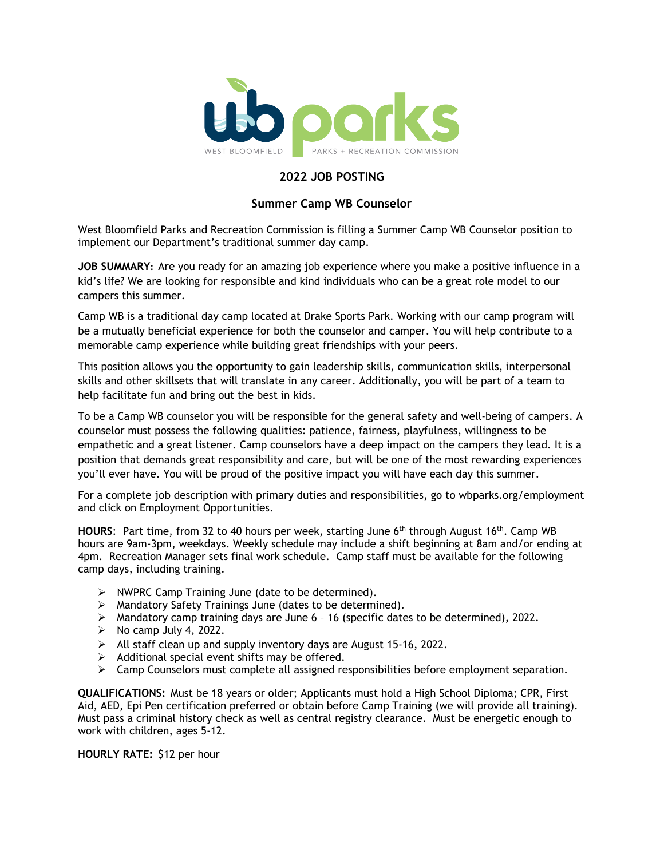

#### **2022 JOB POSTING**

#### **Summer Camp WB Counselor**

West Bloomfield Parks and Recreation Commission is filling a Summer Camp WB Counselor position to implement our Department's traditional summer day camp.

**JOB SUMMARY:** Are you ready for an amazing job experience where you make a positive influence in a kid's life? We are looking for responsible and kind individuals who can be a great role model to our campers this summer.

Camp WB is a traditional day camp located at Drake Sports Park. Working with our camp program will be a mutually beneficial experience for both the counselor and camper. You will help contribute to a memorable camp experience while building great friendships with your peers.

This position allows you the opportunity to gain leadership skills, communication skills, interpersonal skills and other skillsets that will translate in any career. Additionally, you will be part of a team to help facilitate fun and bring out the best in kids.

To be a Camp WB counselor you will be responsible for the general safety and well-being of campers. A counselor must possess the following qualities: patience, fairness, playfulness, willingness to be empathetic and a great listener. Camp counselors have a deep impact on the campers they lead. It is a position that demands great responsibility and care, but will be one of the most rewarding experiences you'll ever have. You will be proud of the positive impact you will have each day this summer.

For a complete job description with primary duties and responsibilities, go to [wbparks.org/employment](file://10.0.4.221/common_data/Human%20Resources/Job%20Descriptions%20and%20Job%20Postings/2017/wbparks.org/employment) and click on Employment Opportunities.

**HOURS**: Part time, from 32 to 40 hours per week, starting June 6th through August 16th. Camp WB hours are 9am-3pm, weekdays. Weekly schedule may include a shift beginning at 8am and/or ending at 4pm. Recreation Manager sets final work schedule. Camp staff must be available for the following camp days, including training.

- $\triangleright$  NWPRC Camp Training June (date to be determined).
- $\triangleright$  Mandatory Safety Trainings June (dates to be determined).
- Mandatory camp training days are June 6 16 (specific dates to be determined), 2022.
- $\triangleright$  No camp July 4, 2022.
- $\triangleright$  All staff clean up and supply inventory days are August 15-16, 2022.
- $\triangleright$  Additional special event shifts may be offered.
- $\triangleright$  Camp Counselors must complete all assigned responsibilities before employment separation.

**QUALIFICATIONS:** Must be 18 years or older; Applicants must hold a High School Diploma; CPR, First Aid, AED, Epi Pen certification preferred or obtain before Camp Training (we will provide all training). Must pass a criminal history check as well as central registry clearance. Must be energetic enough to work with children, ages 5-12.

**HOURLY RATE:** \$12 per hour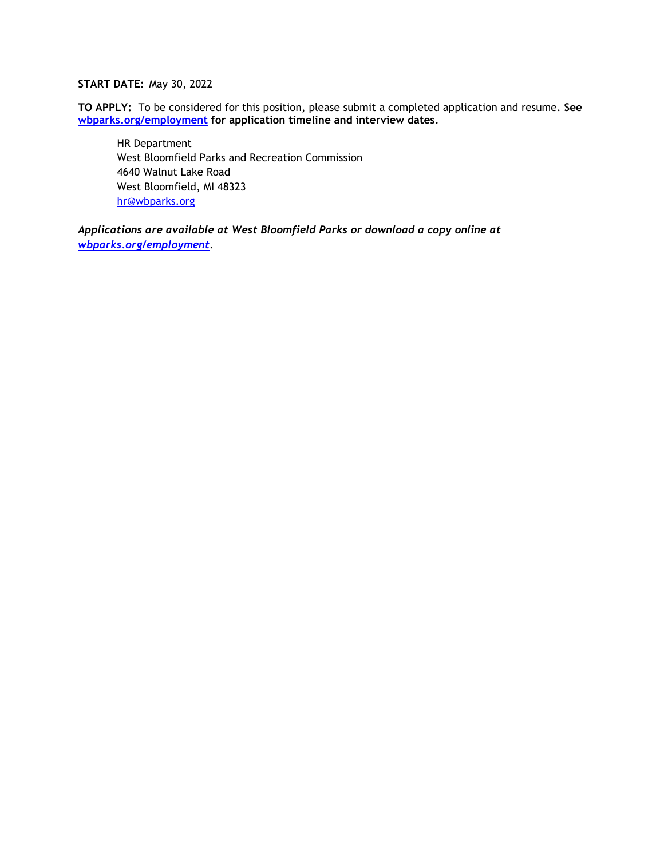#### **START DATE:** May 30, 2022

**TO APPLY:** To be considered for this position, please submit a completed application and resume. **See [wbparks.org/employment](file://10.0.4.221/common_data/Human%20Resources/Job%20Descriptions%20and%20Job%20Postings/Job%20Postings-2019/wbparks.org/employment) for application timeline and interview dates.** 

HR Department West Bloomfield Parks and Recreation Commission 4640 Walnut Lake Road West Bloomfield, MI 48323 [hr@wbparks.org](mailto:hr@wbparks.org)

*Applications are available at West Bloomfield Parks or download a copy online at [wbparks.org/employment.](file://10.0.4.221/common_data/Human%20Resources/Job%20Descriptions%20and%20Job%20Postings/2017/wbparks.org/employment)*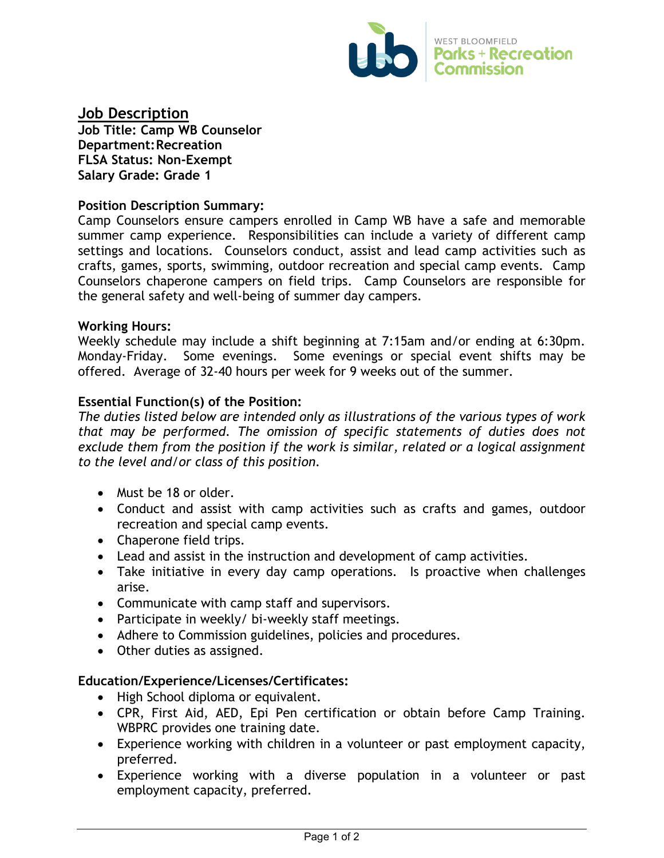

# **Job Description**

**Job Title: Camp WB Counselor Department:Recreation FLSA Status: Non-Exempt Salary Grade: Grade 1**

### **Position Description Summary:**

Camp Counselors ensure campers enrolled in Camp WB have a safe and memorable summer camp experience. Responsibilities can include a variety of different camp settings and locations. Counselors conduct, assist and lead camp activities such as crafts, games, sports, swimming, outdoor recreation and special camp events. Camp Counselors chaperone campers on field trips. Camp Counselors are responsible for the general safety and well-being of summer day campers.

#### **Working Hours:**

Weekly schedule may include a shift beginning at 7:15am and/or ending at 6:30pm. Monday-Friday. Some evenings. Some evenings or special event shifts may be offered. Average of 32-40 hours per week for 9 weeks out of the summer.

## **Essential Function(s) of the Position:**

*The duties listed below are intended only as illustrations of the various types of work that may be performed. The omission of specific statements of duties does not exclude them from the position if the work is similar, related or a logical assignment to the level and/or class of this position.*

- Must be 18 or older.
- Conduct and assist with camp activities such as crafts and games, outdoor recreation and special camp events.
- Chaperone field trips.
- Lead and assist in the instruction and development of camp activities.
- Take initiative in every day camp operations. Is proactive when challenges arise.
- Communicate with camp staff and supervisors.
- Participate in weekly/ bi-weekly staff meetings.
- Adhere to Commission guidelines, policies and procedures.
- Other duties as assigned.

#### **Education/Experience/Licenses/Certificates:**

- High School diploma or equivalent.
- CPR, First Aid, AED, Epi Pen certification or obtain before Camp Training. WBPRC provides one training date.
- Experience working with children in a volunteer or past employment capacity, preferred.
- Experience working with a diverse population in a volunteer or past employment capacity, preferred.